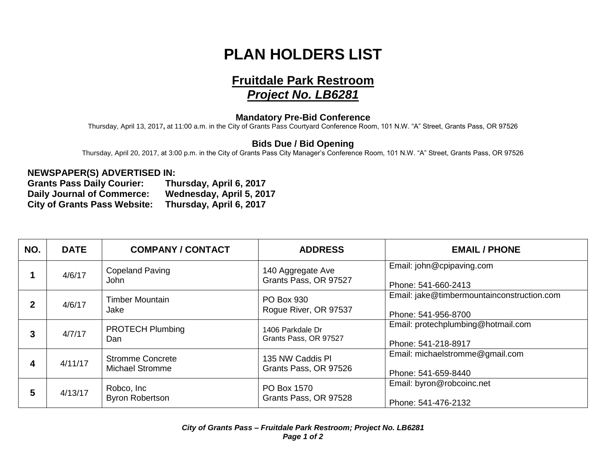## **PLAN HOLDERS LIST**

# **Fruitdale Park Restroom**

### *Project No. LB6281*

#### **Mandatory Pre-Bid Conference**

Thursday, April 13, 2017**,** at 11:00 a.m. in the City of Grants Pass Courtyard Conference Room, 101 N.W. "A" Street, Grants Pass, OR 97526

#### **Bids Due / Bid Opening**

Thursday, April 20, 2017, at 3:00 p.m. in the City of Grants Pass City Manager's Conference Room, 101 N.W. "A" Street, Grants Pass, OR 97526

#### **NEWSPAPER(S) ADVERTISED IN:**

**Grants Pass Daily Courier: Thursday, April 6, 2017 Daily Journal of Commerce: Wednesday, April 5, 2017 City of Grants Pass Website:** 

| NO.          | <b>DATE</b> | <b>COMPANY / CONTACT</b>                          | <b>ADDRESS</b>                             | <b>EMAIL / PHONE</b>                                              |
|--------------|-------------|---------------------------------------------------|--------------------------------------------|-------------------------------------------------------------------|
|              | 4/6/17      | <b>Copeland Paving</b><br>John                    | 140 Aggregate Ave<br>Grants Pass, OR 97527 | Email: john@cpipaving.com<br>Phone: 541-660-2413                  |
| $\mathbf{2}$ | 4/6/17      | <b>Timber Mountain</b><br>Jake                    | PO Box 930<br>Rogue River, OR 97537        | Email: jake@timbermountainconstruction.com<br>Phone: 541-956-8700 |
| 3            | 4/7/17      | <b>PROTECH Plumbing</b><br>Dan                    | 1406 Parkdale Dr<br>Grants Pass, OR 97527  | Email: protechplumbing@hotmail.com<br>Phone: 541-218-8917         |
| 4            | 4/11/17     | <b>Stromme Concrete</b><br><b>Michael Stromme</b> | 135 NW Caddis PI<br>Grants Pass, OR 97526  | Email: michaelstromme@gmail.com<br>Phone: 541-659-8440            |
| 5            | 4/13/17     | Robco, Inc<br><b>Byron Robertson</b>              | PO Box 1570<br>Grants Pass, OR 97528       | Email: byron@robcoinc.net<br>Phone: 541-476-2132                  |